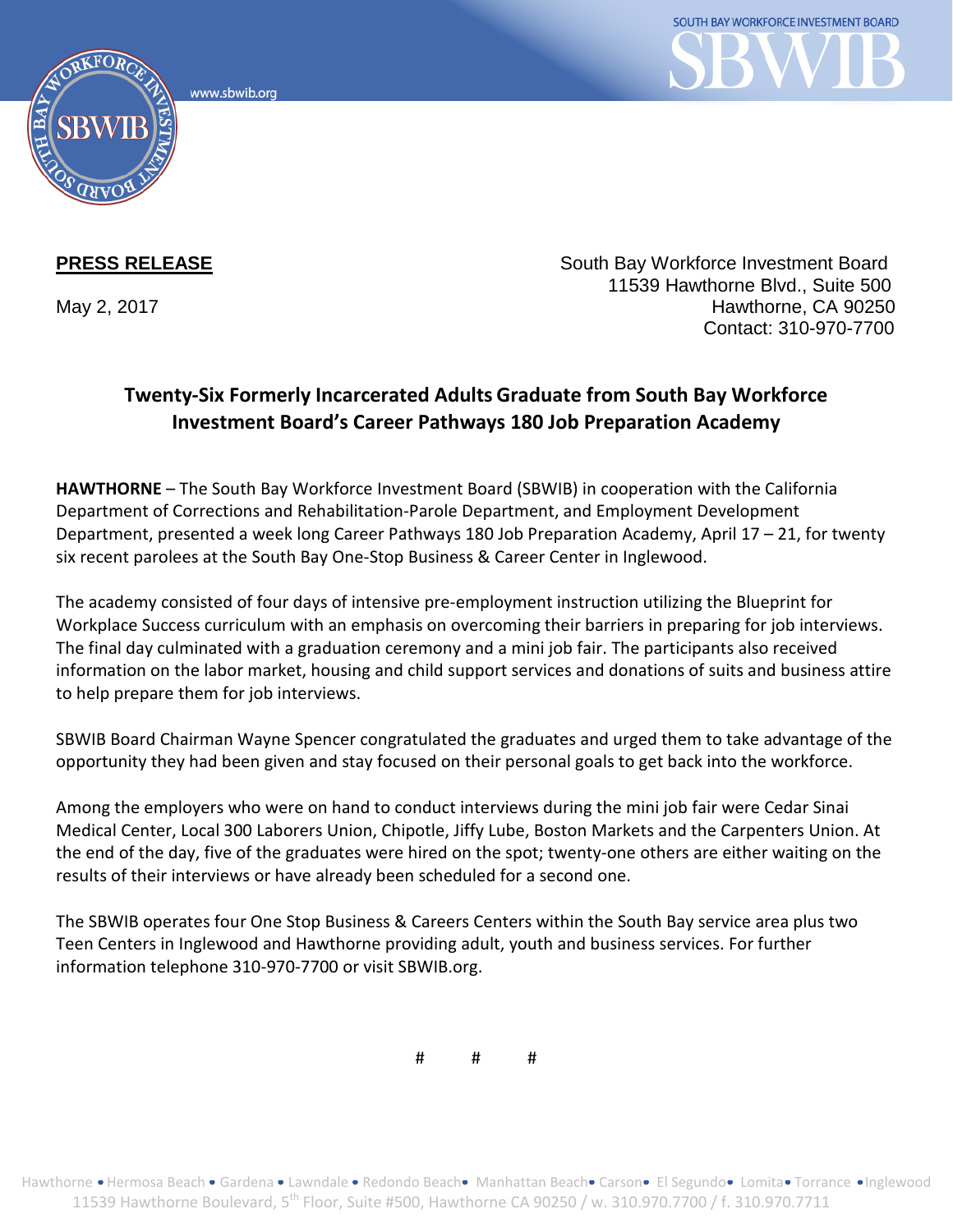www.sbwib.org



**PRESS RELEASE** South Bay Workforce Investment Board 11539 Hawthorne Blvd., Suite 500 May 2, 2017 **Hawthorne, CA 90250** Contact: 310-970-7700

## **Twenty-Six Formerly Incarcerated Adults Graduate from South Bay Workforce Investment Board's Career Pathways 180 Job Preparation Academy**

**HAWTHORNE** – The South Bay Workforce Investment Board (SBWIB) in cooperation with the California Department of Corrections and Rehabilitation-Parole Department, and Employment Development Department, presented a week long Career Pathways 180 Job Preparation Academy, April 17 – 21, for twenty six recent parolees at the South Bay One-Stop Business & Career Center in Inglewood.

The academy consisted of four days of intensive pre-employment instruction utilizing the Blueprint for Workplace Success curriculum with an emphasis on overcoming their barriers in preparing for job interviews. The final day culminated with a graduation ceremony and a mini job fair. The participants also received information on the labor market, housing and child support services and donations of suits and business attire to help prepare them for job interviews.

SBWIB Board Chairman Wayne Spencer congratulated the graduates and urged them to take advantage of the opportunity they had been given and stay focused on their personal goals to get back into the workforce.

Among the employers who were on hand to conduct interviews during the mini job fair were Cedar Sinai Medical Center, Local 300 Laborers Union, Chipotle, Jiffy Lube, Boston Markets and the Carpenters Union. At the end of the day, five of the graduates were hired on the spot; twenty-one others are either waiting on the results of their interviews or have already been scheduled for a second one.

The SBWIB operates four One Stop Business & Careers Centers within the South Bay service area plus two Teen Centers in Inglewood and Hawthorne providing adult, youth and business services. For further information telephone 310-970-7700 or visit SBWIB.org.

# # #